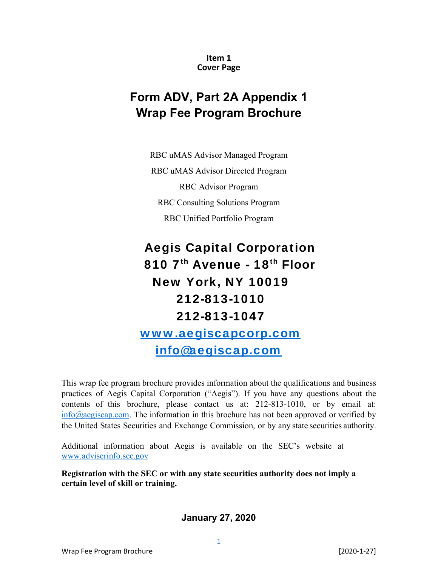**Item 1 Cover Page** 

# **Form ADV, Part 2A Appendix 1 Wrap Fee Program Brochure**

RBC uMAS Advisor Managed Program RBC uMAS Advisor Directed Program RBC Advisor Program RBC Consulting Solutions Program RBC Unified Portfolio Program

# Aegis Capital Corporation 810 7<sup>th</sup> Avenue - 18<sup>th</sup> Floor New York, NY 10019 212-813-1010 212-813-1047 www.aegiscapcorp.com

info@aegiscap.com

This wrap fee program brochure provides information about the qualifications and business practices of Aegis Capital Corporation ("Aegis"). If you have any questions about the contents of this brochure, please contact us at: 212-813-1010, or by email at:  $info@aegiscap.com$ . The information in this brochure has not been approved or verified by the United States Securities and Exchange Commission, or by any state securities authority.

Additional information about Aegis is available on the SEC's website at www.adviserinfo.sec.gov

**Registration with the SEC or with any state securities authority does not imply a certain level of skill or training.** 

**January 27, 2020**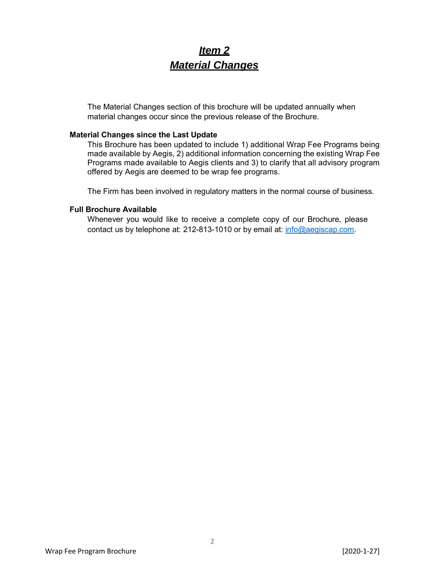## *Item 2 Material Changes*

The Material Changes section of this brochure will be updated annually when material changes occur since the previous release of the Brochure.

#### **Material Changes since the Last Update**

This Brochure has been updated to include 1) additional Wrap Fee Programs being made available by Aegis, 2) additional information concerning the existing Wrap Fee Programs made available to Aegis clients and 3) to clarify that all advisory program offered by Aegis are deemed to be wrap fee programs.

The Firm has been involved in regulatory matters in the normal course of business.

#### **Full Brochure Available**

Whenever you would like to receive a complete copy of our Brochure, please contact us by telephone at: 212-813-1010 or by email at: info@aegiscap.com.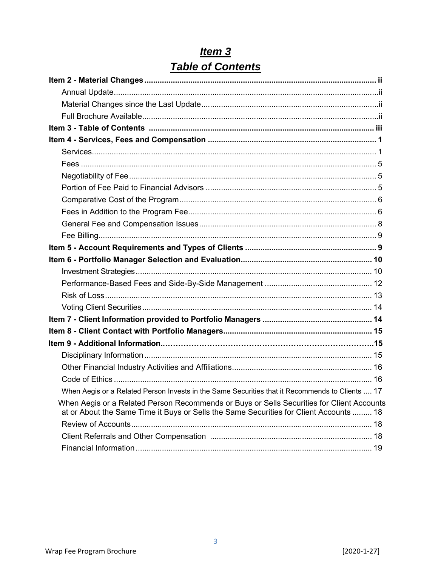| When Aegis or a Related Person Invests in the Same Securities that it Recommends to Clients  17                                                                                     |  |
|-------------------------------------------------------------------------------------------------------------------------------------------------------------------------------------|--|
| When Aegis or a Related Person Recommends or Buys or Sells Securities for Client Accounts<br>at or About the Same Time it Buys or Sells the Same Securities for Client Accounts  18 |  |
|                                                                                                                                                                                     |  |
|                                                                                                                                                                                     |  |
|                                                                                                                                                                                     |  |

# $Item 3$ </u> Table of Contents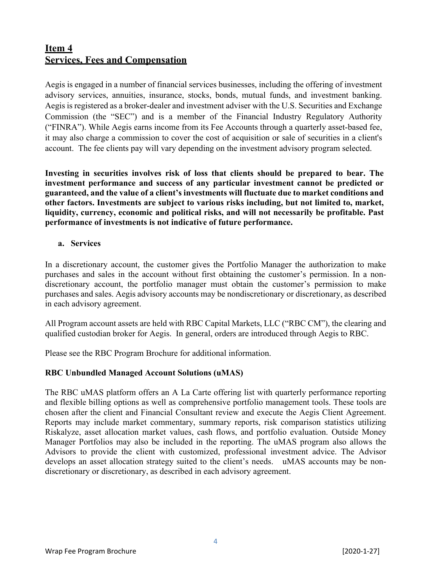### **Item 4 Services, Fees and Compensation**

Aegis is engaged in a number of financial services businesses, including the offering of investment advisory services, annuities, insurance, stocks, bonds, mutual funds, and investment banking. Aegis is registered as a broker-dealer and investment adviser with the U.S. Securities and Exchange Commission (the "SEC") and is a member of the Financial Industry Regulatory Authority ("FINRA"). While Aegis earns income from its Fee Accounts through a quarterly asset-based fee, it may also charge a commission to cover the cost of acquisition or sale of securities in a client's account. The fee clients pay will vary depending on the investment advisory program selected.

**Investing in securities involves risk of loss that clients should be prepared to bear. The investment performance and success of any particular investment cannot be predicted or guaranteed, and the value of a client's investments will fluctuate due to market conditions and other factors. Investments are subject to various risks including, but not limited to, market, liquidity, currency, economic and political risks, and will not necessarily be profitable. Past performance of investments is not indicative of future performance.** 

#### **a. Services**

In a discretionary account, the customer gives the Portfolio Manager the authorization to make purchases and sales in the account without first obtaining the customer's permission. In a nondiscretionary account, the portfolio manager must obtain the customer's permission to make purchases and sales. Aegis advisory accounts may be nondiscretionary or discretionary, as described in each advisory agreement.

All Program account assets are held with RBC Capital Markets, LLC ("RBC CM"), the clearing and qualified custodian broker for Aegis. In general, orders are introduced through Aegis to RBC.

Please see the RBC Program Brochure for additional information.

#### **RBC Unbundled Managed Account Solutions (uMAS)**

The RBC uMAS platform offers an A La Carte offering list with quarterly performance reporting and flexible billing options as well as comprehensive portfolio management tools. These tools are chosen after the client and Financial Consultant review and execute the Aegis Client Agreement. Reports may include market commentary, summary reports, risk comparison statistics utilizing Riskalyze, asset allocation market values, cash flows, and portfolio evaluation. Outside Money Manager Portfolios may also be included in the reporting. The uMAS program also allows the Advisors to provide the client with customized, professional investment advice. The Advisor develops an asset allocation strategy suited to the client's needs. uMAS accounts may be nondiscretionary or discretionary, as described in each advisory agreement.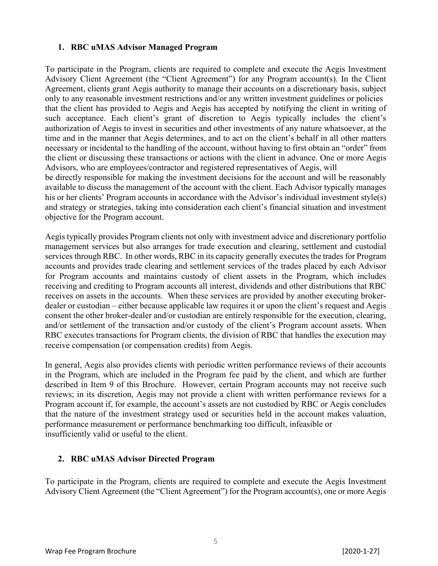#### **1. RBC uMAS Advisor Managed Program**

To participate in the Program, clients are required to complete and execute the Aegis Investment Advisory Client Agreement (the "Client Agreement") for any Program account(s). In the Client Agreement, clients grant Aegis authority to manage their accounts on a discretionary basis, subject only to any reasonable investment restrictions and/or any written investment guidelines or policies that the client has provided to Aegis and Aegis has accepted by notifying the client in writing of such acceptance. Each client's grant of discretion to Aegis typically includes the client's authorization of Aegis to invest in securities and other investments of any nature whatsoever, at the time and in the manner that Aegis determines, and to act on the client's behalf in all other matters necessary or incidental to the handling of the account, without having to first obtain an "order" from the client or discussing these transactions or actions with the client in advance. One or more Aegis Advisors, who are employees/contractor and registered representatives of Aegis, will

be directly responsible for making the investment decisions for the account and will be reasonably available to discuss the management of the account with the client. Each Advisor typically manages his or her clients' Program accounts in accordance with the Advisor's individual investment style(s) and strategy or strategies, taking into consideration each client's financial situation and investment objective for the Program account.

Aegis typically provides Program clients not only with investment advice and discretionary portfolio management services but also arranges for trade execution and clearing, settlement and custodial services through RBC. In other words, RBC in its capacity generally executes the trades for Program accounts and provides trade clearing and settlement services of the trades placed by each Advisor for Program accounts and maintains custody of client assets in the Program, which includes receiving and crediting to Program accounts all interest, dividends and other distributions that RBC receives on assets in the accounts. When these services are provided by another executing brokerdealer or custodian – either because applicable law requires it or upon the client's request and Aegis consent the other broker-dealer and/or custodian are entirely responsible for the execution, clearing, and/or settlement of the transaction and/or custody of the client's Program account assets. When RBC executes transactions for Program clients, the division of RBC that handles the execution may receive compensation (or compensation credits) from Aegis.

In general, Aegis also provides clients with periodic written performance reviews of their accounts in the Program, which are included in the Program fee paid by the client, and which are further described in Item 9 of this Brochure. However, certain Program accounts may not receive such reviews; in its discretion, Aegis may not provide a client with written performance reviews for a Program account if, for example, the account's assets are not custodied by RBC or Aegis concludes that the nature of the investment strategy used or securities held in the account makes valuation, performance measurement or performance benchmarking too difficult, infeasible or insufficiently valid or useful to the client.

#### **2. RBC uMAS Advisor Directed Program**

To participate in the Program, clients are required to complete and execute the Aegis Investment Advisory Client Agreement (the "Client Agreement") for the Program account(s), one or more Aegis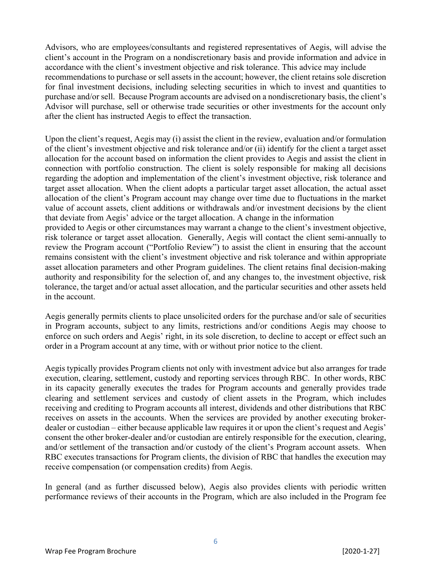Advisors, who are employees/consultants and registered representatives of Aegis, will advise the client's account in the Program on a nondiscretionary basis and provide information and advice in accordance with the client's investment objective and risk tolerance. This advice may include recommendations to purchase or sell assets in the account; however, the client retains sole discretion for final investment decisions, including selecting securities in which to invest and quantities to purchase and/or sell. Because Program accounts are advised on a nondiscretionary basis, the client's Advisor will purchase, sell or otherwise trade securities or other investments for the account only after the client has instructed Aegis to effect the transaction.

Upon the client's request, Aegis may (i) assist the client in the review, evaluation and/or formulation of the client's investment objective and risk tolerance and/or (ii) identify for the client a target asset allocation for the account based on information the client provides to Aegis and assist the client in connection with portfolio construction. The client is solely responsible for making all decisions regarding the adoption and implementation of the client's investment objective, risk tolerance and target asset allocation. When the client adopts a particular target asset allocation, the actual asset allocation of the client's Program account may change over time due to fluctuations in the market value of account assets, client additions or withdrawals and/or investment decisions by the client that deviate from Aegis' advice or the target allocation. A change in the information provided to Aegis or other circumstances may warrant a change to the client's investment objective, risk tolerance or target asset allocation. Generally, Aegis will contact the client semi-annually to review the Program account ("Portfolio Review") to assist the client in ensuring that the account remains consistent with the client's investment objective and risk tolerance and within appropriate

asset allocation parameters and other Program guidelines. The client retains final decision-making authority and responsibility for the selection of, and any changes to, the investment objective, risk tolerance, the target and/or actual asset allocation, and the particular securities and other assets held in the account.

Aegis generally permits clients to place unsolicited orders for the purchase and/or sale of securities in Program accounts, subject to any limits, restrictions and/or conditions Aegis may choose to enforce on such orders and Aegis' right, in its sole discretion, to decline to accept or effect such an order in a Program account at any time, with or without prior notice to the client.

Aegis typically provides Program clients not only with investment advice but also arranges for trade execution, clearing, settlement, custody and reporting services through RBC. In other words, RBC in its capacity generally executes the trades for Program accounts and generally provides trade clearing and settlement services and custody of client assets in the Program, which includes receiving and crediting to Program accounts all interest, dividends and other distributions that RBC receives on assets in the accounts. When the services are provided by another executing brokerdealer or custodian – either because applicable law requires it or upon the client's request and Aegis' consent the other broker-dealer and/or custodian are entirely responsible for the execution, clearing, and/or settlement of the transaction and/or custody of the client's Program account assets. When RBC executes transactions for Program clients, the division of RBC that handles the execution may receive compensation (or compensation credits) from Aegis.

In general (and as further discussed below), Aegis also provides clients with periodic written performance reviews of their accounts in the Program, which are also included in the Program fee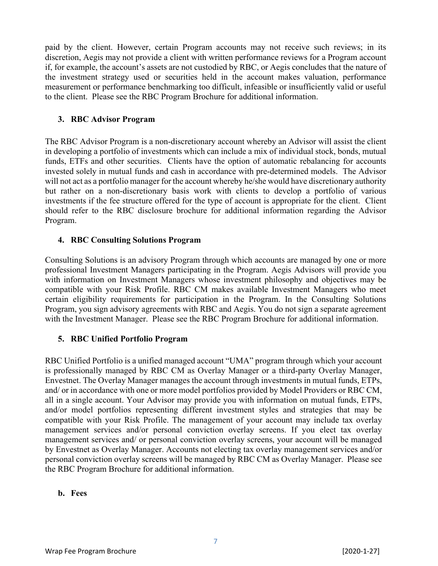paid by the client. However, certain Program accounts may not receive such reviews; in its discretion, Aegis may not provide a client with written performance reviews for a Program account if, for example, the account's assets are not custodied by RBC, or Aegis concludes that the nature of the investment strategy used or securities held in the account makes valuation, performance measurement or performance benchmarking too difficult, infeasible or insufficiently valid or useful to the client. Please see the RBC Program Brochure for additional information.

#### **3. RBC Advisor Program**

The RBC Advisor Program is a non-discretionary account whereby an Advisor will assist the client in developing a portfolio of investments which can include a mix of individual stock, bonds, mutual funds, ETFs and other securities. Clients have the option of automatic rebalancing for accounts invested solely in mutual funds and cash in accordance with pre-determined models. The Advisor will not act as a portfolio manager for the account whereby he/she would have discretionary authority but rather on a non-discretionary basis work with clients to develop a portfolio of various investments if the fee structure offered for the type of account is appropriate for the client. Client should refer to the RBC disclosure brochure for additional information regarding the Advisor Program.

#### **4. RBC Consulting Solutions Program**

Consulting Solutions is an advisory Program through which accounts are managed by one or more professional Investment Managers participating in the Program. Aegis Advisors will provide you with information on Investment Managers whose investment philosophy and objectives may be compatible with your Risk Profile. RBC CM makes available Investment Managers who meet certain eligibility requirements for participation in the Program. In the Consulting Solutions Program, you sign advisory agreements with RBC and Aegis. You do not sign a separate agreement with the Investment Manager. Please see the RBC Program Brochure for additional information.

#### **5. RBC Unified Portfolio Program**

RBC Unified Portfolio is a unified managed account "UMA" program through which your account is professionally managed by RBC CM as Overlay Manager or a third-party Overlay Manager, Envestnet. The Overlay Manager manages the account through investments in mutual funds, ETPs, and/ or in accordance with one or more model portfolios provided by Model Providers or RBC CM, all in a single account. Your Advisor may provide you with information on mutual funds, ETPs, and/or model portfolios representing different investment styles and strategies that may be compatible with your Risk Profile. The management of your account may include tax overlay management services and/or personal conviction overlay screens. If you elect tax overlay management services and/ or personal conviction overlay screens, your account will be managed by Envestnet as Overlay Manager. Accounts not electing tax overlay management services and/or personal conviction overlay screens will be managed by RBC CM as Overlay Manager. Please see the RBC Program Brochure for additional information.

#### **b. Fees**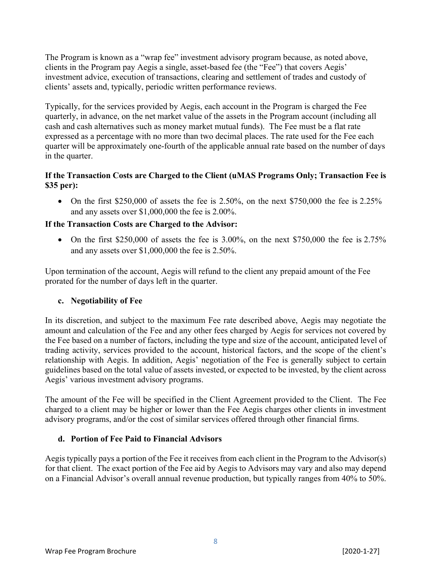The Program is known as a "wrap fee" investment advisory program because, as noted above, clients in the Program pay Aegis a single, asset-based fee (the "Fee") that covers Aegis' investment advice, execution of transactions, clearing and settlement of trades and custody of clients' assets and, typically, periodic written performance reviews.

Typically, for the services provided by Aegis, each account in the Program is charged the Fee quarterly, in advance, on the net market value of the assets in the Program account (including all cash and cash alternatives such as money market mutual funds). The Fee must be a flat rate expressed as a percentage with no more than two decimal places. The rate used for the Fee each quarter will be approximately one-fourth of the applicable annual rate based on the number of days in the quarter.

#### **If the Transaction Costs are Charged to the Client (uMAS Programs Only; Transaction Fee is \$35 per):**

• On the first \$250,000 of assets the fee is 2.50%, on the next \$750,000 the fee is 2.25% and any assets over \$1,000,000 the fee is 2.00%.

#### **If the Transaction Costs are Charged to the Advisor:**

• On the first \$250,000 of assets the fee is  $3.00\%$ , on the next \$750,000 the fee is 2.75% and any assets over \$1,000,000 the fee is 2.50%.

Upon termination of the account, Aegis will refund to the client any prepaid amount of the Fee prorated for the number of days left in the quarter.

#### **c. Negotiability of Fee**

In its discretion, and subject to the maximum Fee rate described above, Aegis may negotiate the amount and calculation of the Fee and any other fees charged by Aegis for services not covered by the Fee based on a number of factors, including the type and size of the account, anticipated level of trading activity, services provided to the account, historical factors, and the scope of the client's relationship with Aegis. In addition, Aegis' negotiation of the Fee is generally subject to certain guidelines based on the total value of assets invested, or expected to be invested, by the client across Aegis' various investment advisory programs.

The amount of the Fee will be specified in the Client Agreement provided to the Client. The Fee charged to a client may be higher or lower than the Fee Aegis charges other clients in investment advisory programs, and/or the cost of similar services offered through other financial firms.

#### **d. Portion of Fee Paid to Financial Advisors**

Aegis typically pays a portion of the Fee it receives from each client in the Program to the Advisor(s) for that client. The exact portion of the Fee aid by Aegis to Advisors may vary and also may depend on a Financial Advisor's overall annual revenue production, but typically ranges from 40% to 50%.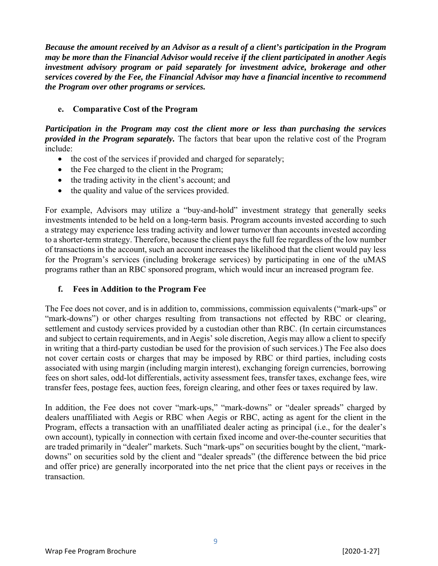*Because the amount received by an Advisor as a result of a client's participation in the Program may be more than the Financial Advisor would receive if the client participated in another Aegis investment advisory program or paid separately for investment advice, brokerage and other services covered by the Fee, the Financial Advisor may have a financial incentive to recommend the Program over other programs or services.*

#### **e. Comparative Cost of the Program**

*Participation in the Program may cost the client more or less than purchasing the services provided in the Program separately.* The factors that bear upon the relative cost of the Program include:

- the cost of the services if provided and charged for separately;
- the Fee charged to the client in the Program;
- the trading activity in the client's account; and
- the quality and value of the services provided.

For example, Advisors may utilize a "buy-and-hold" investment strategy that generally seeks investments intended to be held on a long-term basis. Program accounts invested according to such a strategy may experience less trading activity and lower turnover than accounts invested according to a shorter-term strategy. Therefore, because the client pays the full fee regardless of the low number of transactions in the account, such an account increases the likelihood that the client would pay less for the Program's services (including brokerage services) by participating in one of the uMAS programs rather than an RBC sponsored program, which would incur an increased program fee.

#### **f. Fees in Addition to the Program Fee**

The Fee does not cover, and is in addition to, commissions, commission equivalents ("mark-ups" or "mark-downs") or other charges resulting from transactions not effected by RBC or clearing, settlement and custody services provided by a custodian other than RBC. (In certain circumstances and subject to certain requirements, and in Aegis' sole discretion, Aegis may allow a client to specify in writing that a third-party custodian be used for the provision of such services.) The Fee also does not cover certain costs or charges that may be imposed by RBC or third parties, including costs associated with using margin (including margin interest), exchanging foreign currencies, borrowing fees on short sales, odd-lot differentials, activity assessment fees, transfer taxes, exchange fees, wire transfer fees, postage fees, auction fees, foreign clearing, and other fees or taxes required by law.

In addition, the Fee does not cover "mark-ups," "mark-downs" or "dealer spreads" charged by dealers unaffiliated with Aegis or RBC when Aegis or RBC, acting as agent for the client in the Program, effects a transaction with an unaffiliated dealer acting as principal (i.e., for the dealer's own account), typically in connection with certain fixed income and over-the-counter securities that are traded primarily in "dealer" markets. Such "mark-ups" on securities bought by the client, "markdowns" on securities sold by the client and "dealer spreads" (the difference between the bid price and offer price) are generally incorporated into the net price that the client pays or receives in the transaction.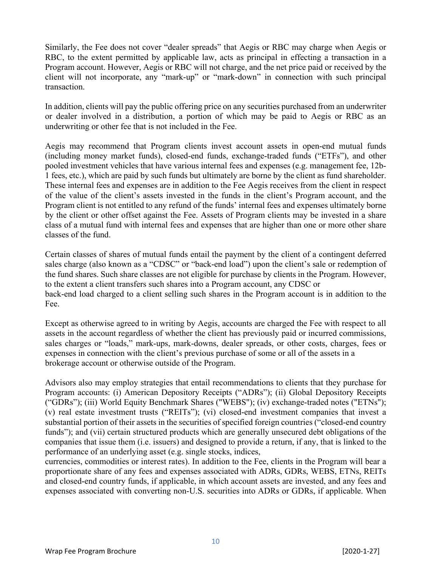Similarly, the Fee does not cover "dealer spreads" that Aegis or RBC may charge when Aegis or RBC, to the extent permitted by applicable law, acts as principal in effecting a transaction in a Program account. However, Aegis or RBC will not charge, and the net price paid or received by the client will not incorporate, any "mark-up" or "mark-down" in connection with such principal transaction.

In addition, clients will pay the public offering price on any securities purchased from an underwriter or dealer involved in a distribution, a portion of which may be paid to Aegis or RBC as an underwriting or other fee that is not included in the Fee.

Aegis may recommend that Program clients invest account assets in open-end mutual funds (including money market funds), closed-end funds, exchange-traded funds ("ETFs"), and other pooled investment vehicles that have various internal fees and expenses (e.g. management fee, 12b-1 fees, etc.), which are paid by such funds but ultimately are borne by the client as fund shareholder. These internal fees and expenses are in addition to the Fee Aegis receives from the client in respect of the value of the client's assets invested in the funds in the client's Program account, and the Program client is not entitled to any refund of the funds' internal fees and expenses ultimately borne by the client or other offset against the Fee. Assets of Program clients may be invested in a share class of a mutual fund with internal fees and expenses that are higher than one or more other share classes of the fund.

Certain classes of shares of mutual funds entail the payment by the client of a contingent deferred sales charge (also known as a "CDSC" or "back-end load") upon the client's sale or redemption of the fund shares. Such share classes are not eligible for purchase by clients in the Program. However, to the extent a client transfers such shares into a Program account, any CDSC or back-end load charged to a client selling such shares in the Program account is in addition to the Fee.

Except as otherwise agreed to in writing by Aegis, accounts are charged the Fee with respect to all assets in the account regardless of whether the client has previously paid or incurred commissions, sales charges or "loads," mark-ups, mark-downs, dealer spreads, or other costs, charges, fees or expenses in connection with the client's previous purchase of some or all of the assets in a brokerage account or otherwise outside of the Program.

Advisors also may employ strategies that entail recommendations to clients that they purchase for Program accounts: (i) American Depository Receipts ("ADRs"); (ii) Global Depository Receipts ("GDRs"); (iii) World Equity Benchmark Shares ("WEBS"); (iv) exchange-traded notes ("ETNs"); (v) real estate investment trusts ("REITs"); (vi) closed-end investment companies that invest a substantial portion of their assets in the securities of specified foreign countries ("closed-end country funds"); and (vii) certain structured products which are generally unsecured debt obligations of the companies that issue them (i.e. issuers) and designed to provide a return, if any, that is linked to the performance of an underlying asset (e.g. single stocks, indices,

currencies, commodities or interest rates). In addition to the Fee, clients in the Program will bear a proportionate share of any fees and expenses associated with ADRs, GDRs, WEBS, ETNs, REITs and closed-end country funds, if applicable, in which account assets are invested, and any fees and expenses associated with converting non-U.S. securities into ADRs or GDRs, if applicable. When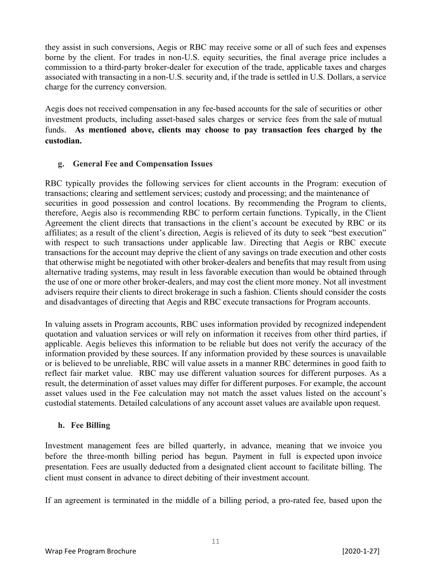they assist in such conversions, Aegis or RBC may receive some or all of such fees and expenses borne by the client. For trades in non-U.S. equity securities, the final average price includes a commission to a third-party broker-dealer for execution of the trade, applicable taxes and charges associated with transacting in a non-U.S. security and, if the trade is settled in U.S. Dollars, a service charge for the currency conversion.

Aegis does not received compensation in any fee-based accounts for the sale of securities or other investment products, including asset-based sales charges or service fees from the sale of mutual funds. **As mentioned above, clients may choose to pay transaction fees charged by the custodian.**

#### **g. General Fee and Compensation Issues**

RBC typically provides the following services for client accounts in the Program: execution of transactions; clearing and settlement services; custody and processing; and the maintenance of securities in good possession and control locations. By recommending the Program to clients, therefore, Aegis also is recommending RBC to perform certain functions. Typically, in the Client Agreement the client directs that transactions in the client's account be executed by RBC or its affiliates; as a result of the client's direction, Aegis is relieved of its duty to seek "best execution" with respect to such transactions under applicable law. Directing that Aegis or RBC execute transactions for the account may deprive the client of any savings on trade execution and other costs that otherwise might be negotiated with other broker-dealers and benefits that may result from using alternative trading systems, may result in less favorable execution than would be obtained through the use of one or more other broker-dealers, and may cost the client more money. Not all investment advisers require their clients to direct brokerage in such a fashion. Clients should consider the costs and disadvantages of directing that Aegis and RBC execute transactions for Program accounts.

In valuing assets in Program accounts, RBC uses information provided by recognized independent quotation and valuation services or will rely on information it receives from other third parties, if applicable. Aegis believes this information to be reliable but does not verify the accuracy of the information provided by these sources. If any information provided by these sources is unavailable or is believed to be unreliable, RBC will value assets in a manner RBC determines in good faith to reflect fair market value. RBC may use different valuation sources for different purposes. As a result, the determination of asset values may differ for different purposes. For example, the account asset values used in the Fee calculation may not match the asset values listed on the account's custodial statements. Detailed calculations of any account asset values are available upon request.

#### **h. Fee Billing**

Investment management fees are billed quarterly, in advance, meaning that we invoice you before the three-month billing period has begun. Payment in full is expected upon invoice presentation. Fees are usually deducted from a designated client account to facilitate billing. The client must consent in advance to direct debiting of their investment account.

If an agreement is terminated in the middle of a billing period, a pro-rated fee, based upon the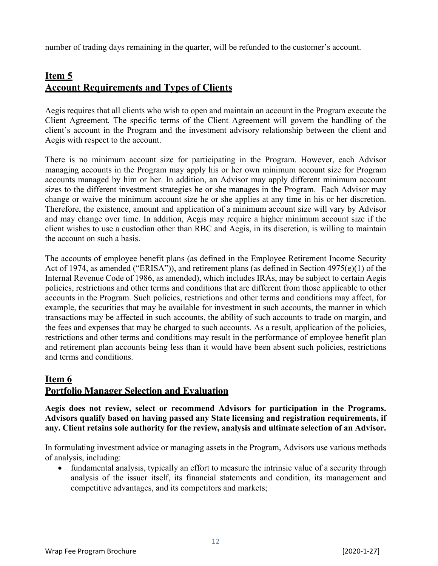number of trading days remaining in the quarter, will be refunded to the customer's account.

### **Item 5 Account Requirements and Types of Clients**

Aegis requires that all clients who wish to open and maintain an account in the Program execute the Client Agreement. The specific terms of the Client Agreement will govern the handling of the client's account in the Program and the investment advisory relationship between the client and Aegis with respect to the account.

There is no minimum account size for participating in the Program. However, each Advisor managing accounts in the Program may apply his or her own minimum account size for Program accounts managed by him or her. In addition, an Advisor may apply different minimum account sizes to the different investment strategies he or she manages in the Program. Each Advisor may change or waive the minimum account size he or she applies at any time in his or her discretion. Therefore, the existence, amount and application of a minimum account size will vary by Advisor and may change over time. In addition, Aegis may require a higher minimum account size if the client wishes to use a custodian other than RBC and Aegis, in its discretion, is willing to maintain the account on such a basis.

The accounts of employee benefit plans (as defined in the Employee Retirement Income Security Act of 1974, as amended ("ERISA")), and retirement plans (as defined in Section 4975(e)(1) of the Internal Revenue Code of 1986, as amended), which includes IRAs, may be subject to certain Aegis policies, restrictions and other terms and conditions that are different from those applicable to other accounts in the Program. Such policies, restrictions and other terms and conditions may affect, for example, the securities that may be available for investment in such accounts, the manner in which transactions may be affected in such accounts, the ability of such accounts to trade on margin, and the fees and expenses that may be charged to such accounts. As a result, application of the policies, restrictions and other terms and conditions may result in the performance of employee benefit plan and retirement plan accounts being less than it would have been absent such policies, restrictions and terms and conditions.

### **Item 6 Portfolio Manager Selection and Evaluation**

**Aegis does not review, select or recommend Advisors for participation in the Programs. Advisors qualify based on having passed any State licensing and registration requirements, if any. Client retains sole authority for the review, analysis and ultimate selection of an Advisor.** 

In formulating investment advice or managing assets in the Program, Advisors use various methods of analysis, including:

• fundamental analysis, typically an effort to measure the intrinsic value of a security through analysis of the issuer itself, its financial statements and condition, its management and competitive advantages, and its competitors and markets;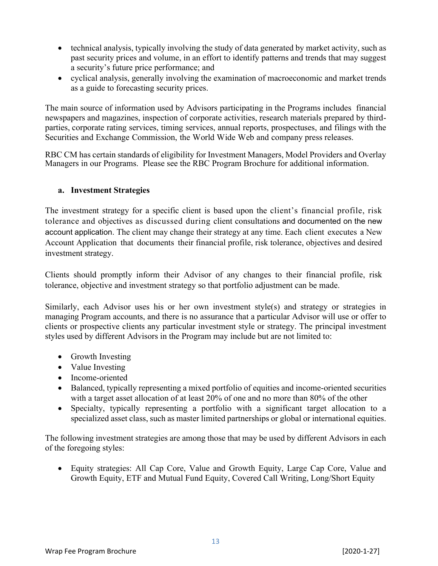- technical analysis, typically involving the study of data generated by market activity, such as past security prices and volume, in an effort to identify patterns and trends that may suggest a security's future price performance; and
- cyclical analysis, generally involving the examination of macroeconomic and market trends as a guide to forecasting security prices.

The main source of information used by Advisors participating in the Programs includes financial newspapers and magazines, inspection of corporate activities, research materials prepared by thirdparties, corporate rating services, timing services, annual reports, prospectuses, and filings with the Securities and Exchange Commission, the World Wide Web and company press releases.

RBC CM has certain standards of eligibility for Investment Managers, Model Providers and Overlay Managers in our Programs. Please see the RBC Program Brochure for additional information.

#### **a. Investment Strategies**

The investment strategy for a specific client is based upon the client's financial profile, risk tolerance and objectives as discussed during client consultations and documented on the new account application. The client may change their strategy at any time. Each client executes a New Account Application that documents their financial profile, risk tolerance, objectives and desired investment strategy.

Clients should promptly inform their Advisor of any changes to their financial profile, risk tolerance, objective and investment strategy so that portfolio adjustment can be made.

Similarly, each Advisor uses his or her own investment style(s) and strategy or strategies in managing Program accounts, and there is no assurance that a particular Advisor will use or offer to clients or prospective clients any particular investment style or strategy. The principal investment styles used by different Advisors in the Program may include but are not limited to:

- Growth Investing
- Value Investing
- Income-oriented
- Balanced, typically representing a mixed portfolio of equities and income-oriented securities with a target asset allocation of at least 20% of one and no more than 80% of the other
- Specialty, typically representing a portfolio with a significant target allocation to a specialized asset class, such as master limited partnerships or global or international equities.

The following investment strategies are among those that may be used by different Advisors in each of the foregoing styles:

 Equity strategies: All Cap Core, Value and Growth Equity, Large Cap Core, Value and Growth Equity, ETF and Mutual Fund Equity, Covered Call Writing, Long/Short Equity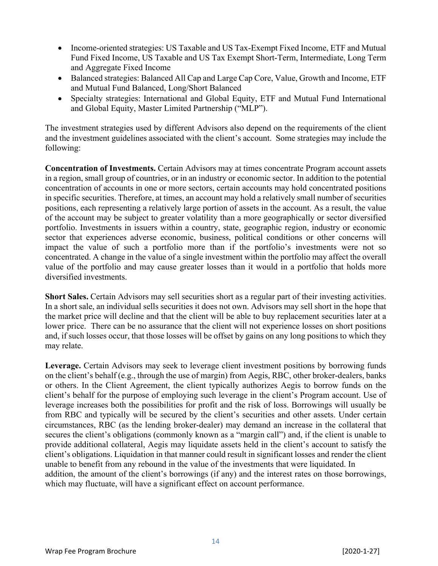- Income-oriented strategies: US Taxable and US Tax-Exempt Fixed Income, ETF and Mutual Fund Fixed Income, US Taxable and US Tax Exempt Short-Term, Intermediate, Long Term and Aggregate Fixed Income
- Balanced strategies: Balanced All Cap and Large Cap Core, Value, Growth and Income, ETF and Mutual Fund Balanced, Long/Short Balanced
- Specialty strategies: International and Global Equity, ETF and Mutual Fund International and Global Equity, Master Limited Partnership ("MLP").

The investment strategies used by different Advisors also depend on the requirements of the client and the investment guidelines associated with the client's account. Some strategies may include the following:

**Concentration of Investments.** Certain Advisors may at times concentrate Program account assets in a region, small group of countries, or in an industry or economic sector. In addition to the potential concentration of accounts in one or more sectors, certain accounts may hold concentrated positions in specific securities. Therefore, at times, an account may hold a relatively small number of securities positions, each representing a relatively large portion of assets in the account. As a result, the value of the account may be subject to greater volatility than a more geographically or sector diversified portfolio. Investments in issuers within a country, state, geographic region, industry or economic sector that experiences adverse economic, business, political conditions or other concerns will impact the value of such a portfolio more than if the portfolio's investments were not so concentrated. A change in the value of a single investment within the portfolio may affect the overall value of the portfolio and may cause greater losses than it would in a portfolio that holds more diversified investments.

**Short Sales.** Certain Advisors may sell securities short as a regular part of their investing activities. In a short sale, an individual sells securities it does not own. Advisors may sell short in the hope that the market price will decline and that the client will be able to buy replacement securities later at a lower price. There can be no assurance that the client will not experience losses on short positions and, if such losses occur, that those losses will be offset by gains on any long positions to which they may relate.

**Leverage.** Certain Advisors may seek to leverage client investment positions by borrowing funds on the client's behalf (e.g., through the use of margin) from Aegis, RBC, other broker-dealers, banks or others. In the Client Agreement, the client typically authorizes Aegis to borrow funds on the client's behalf for the purpose of employing such leverage in the client's Program account. Use of leverage increases both the possibilities for profit and the risk of loss. Borrowings will usually be from RBC and typically will be secured by the client's securities and other assets. Under certain circumstances, RBC (as the lending broker-dealer) may demand an increase in the collateral that secures the client's obligations (commonly known as a "margin call") and, if the client is unable to provide additional collateral, Aegis may liquidate assets held in the client's account to satisfy the client's obligations. Liquidation in that manner could result in significant losses and render the client unable to benefit from any rebound in the value of the investments that were liquidated. In addition, the amount of the client's borrowings (if any) and the interest rates on those borrowings, which may fluctuate, will have a significant effect on account performance.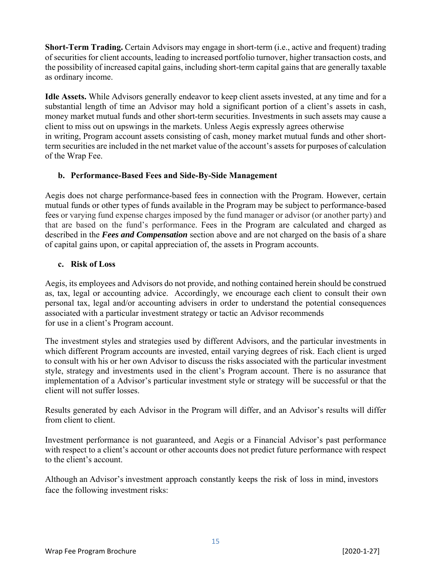**Short-Term Trading.** Certain Advisors may engage in short-term (i.e., active and frequent) trading of securities for client accounts, leading to increased portfolio turnover, higher transaction costs, and the possibility of increased capital gains, including short-term capital gains that are generally taxable as ordinary income.

**Idle Assets.** While Advisors generally endeavor to keep client assets invested, at any time and for a substantial length of time an Advisor may hold a significant portion of a client's assets in cash, money market mutual funds and other short-term securities. Investments in such assets may cause a client to miss out on upswings in the markets. Unless Aegis expressly agrees otherwise in writing, Program account assets consisting of cash, money market mutual funds and other shortterm securities are included in the net market value of the account's assets for purposes of calculation of the Wrap Fee.

#### **b. Performance-Based Fees and Side-By-Side Management**

Aegis does not charge performance-based fees in connection with the Program. However, certain mutual funds or other types of funds available in the Program may be subject to performance-based fees or varying fund expense charges imposed by the fund manager or advisor (or another party) and that are based on the fund's performance. Fees in the Program are calculated and charged as described in the *Fees and Compensation* section above and are not charged on the basis of a share of capital gains upon, or capital appreciation of, the assets in Program accounts.

#### **c. Risk of Loss**

Aegis, its employees and Advisors do not provide, and nothing contained herein should be construed as, tax, legal or accounting advice. Accordingly, we encourage each client to consult their own personal tax, legal and/or accounting advisers in order to understand the potential consequences associated with a particular investment strategy or tactic an Advisor recommends for use in a client's Program account.

The investment styles and strategies used by different Advisors, and the particular investments in which different Program accounts are invested, entail varying degrees of risk. Each client is urged to consult with his or her own Advisor to discuss the risks associated with the particular investment style, strategy and investments used in the client's Program account. There is no assurance that implementation of a Advisor's particular investment style or strategy will be successful or that the client will not suffer losses.

Results generated by each Advisor in the Program will differ, and an Advisor's results will differ from client to client.

Investment performance is not guaranteed, and Aegis or a Financial Advisor's past performance with respect to a client's account or other accounts does not predict future performance with respect to the client's account.

Although an Advisor's investment approach constantly keeps the risk of loss in mind, investors face the following investment risks: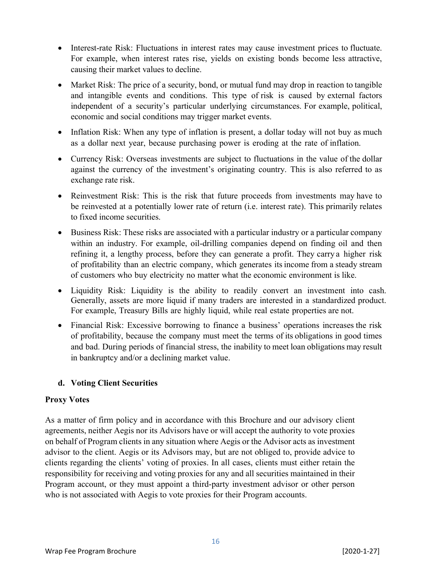- Interest-rate Risk: Fluctuations in interest rates may cause investment prices to fluctuate. For example, when interest rates rise, yields on existing bonds become less attractive, causing their market values to decline.
- Market Risk: The price of a security, bond, or mutual fund may drop in reaction to tangible and intangible events and conditions. This type of risk is caused by external factors independent of a security's particular underlying circumstances. For example, political, economic and social conditions may trigger market events.
- Inflation Risk: When any type of inflation is present, a dollar today will not buy as much as a dollar next year, because purchasing power is eroding at the rate of inflation.
- Currency Risk: Overseas investments are subject to fluctuations in the value of the dollar against the currency of the investment's originating country. This is also referred to as exchange rate risk.
- Reinvestment Risk: This is the risk that future proceeds from investments may have to be reinvested at a potentially lower rate of return (i.e. interest rate). This primarily relates to fixed income securities.
- Business Risk: These risks are associated with a particular industry or a particular company within an industry. For example, oil-drilling companies depend on finding oil and then refining it, a lengthy process, before they can generate a profit. They carry a higher risk of profitability than an electric company, which generates its income from a steady stream of customers who buy electricity no matter what the economic environment is like.
- Liquidity Risk: Liquidity is the ability to readily convert an investment into cash. Generally, assets are more liquid if many traders are interested in a standardized product. For example, Treasury Bills are highly liquid, while real estate properties are not.
- Financial Risk: Excessive borrowing to finance a business' operations increases the risk of profitability, because the company must meet the terms of its obligations in good times and bad. During periods of financial stress, the inability to meet loan obligations may result in bankruptcy and/or a declining market value.

#### **d. Voting Client Securities**

#### **Proxy Votes**

As a matter of firm policy and in accordance with this Brochure and our advisory client agreements, neither Aegis nor its Advisors have or will accept the authority to vote proxies on behalf of Program clients in any situation where Aegis or the Advisor acts as investment advisor to the client. Aegis or its Advisors may, but are not obliged to, provide advice to clients regarding the clients' voting of proxies. In all cases, clients must either retain the responsibility for receiving and voting proxies for any and all securities maintained in their Program account, or they must appoint a third-party investment advisor or other person who is not associated with Aegis to vote proxies for their Program accounts.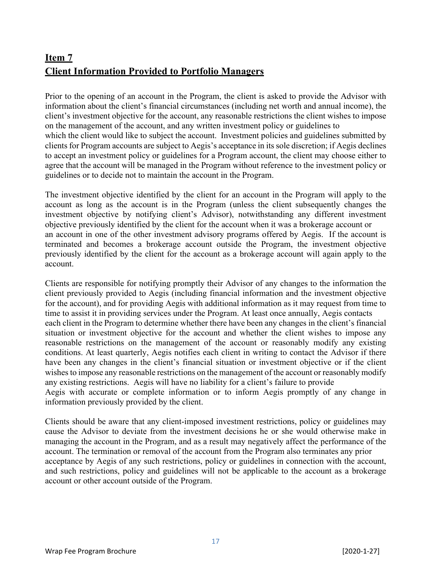# **Item 7 Client Information Provided to Portfolio Managers**

Prior to the opening of an account in the Program, the client is asked to provide the Advisor with information about the client's financial circumstances (including net worth and annual income), the client's investment objective for the account, any reasonable restrictions the client wishes to impose on the management of the account, and any written investment policy or guidelines to which the client would like to subject the account. Investment policies and guidelines submitted by clients for Program accounts are subject to Aegis's acceptance in its sole discretion; if Aegis declines to accept an investment policy or guidelines for a Program account, the client may choose either to agree that the account will be managed in the Program without reference to the investment policy or guidelines or to decide not to maintain the account in the Program.

The investment objective identified by the client for an account in the Program will apply to the account as long as the account is in the Program (unless the client subsequently changes the investment objective by notifying client's Advisor), notwithstanding any different investment objective previously identified by the client for the account when it was a brokerage account or an account in one of the other investment advisory programs offered by Aegis. If the account is terminated and becomes a brokerage account outside the Program, the investment objective previously identified by the client for the account as a brokerage account will again apply to the account.

Clients are responsible for notifying promptly their Advisor of any changes to the information the client previously provided to Aegis (including financial information and the investment objective for the account), and for providing Aegis with additional information as it may request from time to time to assist it in providing services under the Program. At least once annually, Aegis contacts each client in the Program to determine whether there have been any changes in the client's financial situation or investment objective for the account and whether the client wishes to impose any reasonable restrictions on the management of the account or reasonably modify any existing conditions. At least quarterly, Aegis notifies each client in writing to contact the Advisor if there have been any changes in the client's financial situation or investment objective or if the client wishes to impose any reasonable restrictions on the management of the account or reasonably modify any existing restrictions. Aegis will have no liability for a client's failure to provide Aegis with accurate or complete information or to inform Aegis promptly of any change in information previously provided by the client.

Clients should be aware that any client-imposed investment restrictions, policy or guidelines may cause the Advisor to deviate from the investment decisions he or she would otherwise make in managing the account in the Program, and as a result may negatively affect the performance of the account. The termination or removal of the account from the Program also terminates any prior acceptance by Aegis of any such restrictions, policy or guidelines in connection with the account, and such restrictions, policy and guidelines will not be applicable to the account as a brokerage account or other account outside of the Program.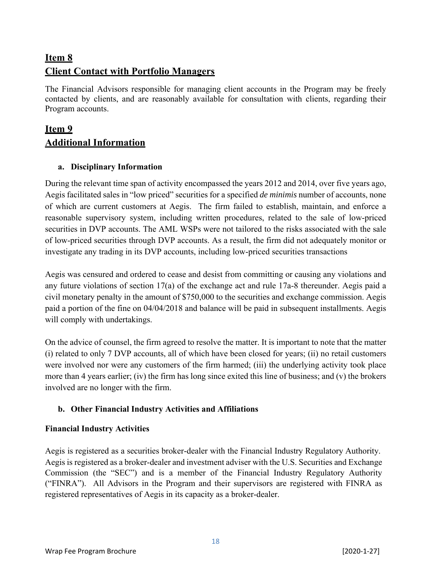## **Item 8 Client Contact with Portfolio Managers**

The Financial Advisors responsible for managing client accounts in the Program may be freely contacted by clients, and are reasonably available for consultation with clients, regarding their Program accounts.

## **Item 9 Additional Information**

#### **a. Disciplinary Information**

During the relevant time span of activity encompassed the years 2012 and 2014, over five years ago, Aegis facilitated sales in "low priced" securities for a specified *de minimis* number of accounts, none of which are current customers at Aegis. The firm failed to establish, maintain, and enforce a reasonable supervisory system, including written procedures, related to the sale of low-priced securities in DVP accounts. The AML WSPs were not tailored to the risks associated with the sale of low-priced securities through DVP accounts. As a result, the firm did not adequately monitor or investigate any trading in its DVP accounts, including low-priced securities transactions

Aegis was censured and ordered to cease and desist from committing or causing any violations and any future violations of section 17(a) of the exchange act and rule 17a-8 thereunder. Aegis paid a civil monetary penalty in the amount of \$750,000 to the securities and exchange commission. Aegis paid a portion of the fine on 04/04/2018 and balance will be paid in subsequent installments. Aegis will comply with undertakings.

On the advice of counsel, the firm agreed to resolve the matter. It is important to note that the matter (i) related to only 7 DVP accounts, all of which have been closed for years; (ii) no retail customers were involved nor were any customers of the firm harmed; (iii) the underlying activity took place more than 4 years earlier; (iv) the firm has long since exited this line of business; and (v) the brokers involved are no longer with the firm.

#### **b. Other Financial Industry Activities and Affiliations**

#### **Financial Industry Activities**

Aegis is registered as a securities broker-dealer with the Financial Industry Regulatory Authority. Aegis is registered as a broker-dealer and investment adviser with the U.S. Securities and Exchange Commission (the "SEC") and is a member of the Financial Industry Regulatory Authority ("FINRA"). All Advisors in the Program and their supervisors are registered with FINRA as registered representatives of Aegis in its capacity as a broker-dealer.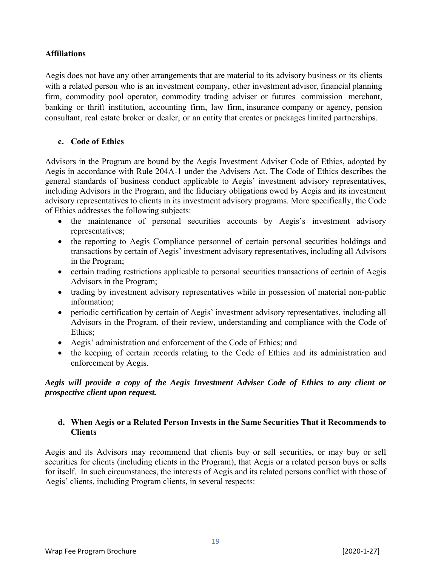#### **Affiliations**

Aegis does not have any other arrangements that are material to its advisory business or its clients with a related person who is an investment company, other investment advisor, financial planning firm, commodity pool operator, commodity trading adviser or futures commission merchant, banking or thrift institution, accounting firm, law firm, insurance company or agency, pension consultant, real estate broker or dealer, or an entity that creates or packages limited partnerships.

#### **c. Code of Ethics**

Advisors in the Program are bound by the Aegis Investment Adviser Code of Ethics, adopted by Aegis in accordance with Rule 204A-1 under the Advisers Act. The Code of Ethics describes the general standards of business conduct applicable to Aegis' investment advisory representatives, including Advisors in the Program, and the fiduciary obligations owed by Aegis and its investment advisory representatives to clients in its investment advisory programs. More specifically, the Code of Ethics addresses the following subjects:

- the maintenance of personal securities accounts by Aegis's investment advisory representatives;
- the reporting to Aegis Compliance personnel of certain personal securities holdings and transactions by certain of Aegis' investment advisory representatives, including all Advisors in the Program;
- certain trading restrictions applicable to personal securities transactions of certain of Aegis Advisors in the Program;
- trading by investment advisory representatives while in possession of material non-public information;
- periodic certification by certain of Aegis' investment advisory representatives, including all Advisors in the Program, of their review, understanding and compliance with the Code of Ethics;
- Aegis' administration and enforcement of the Code of Ethics; and
- the keeping of certain records relating to the Code of Ethics and its administration and enforcement by Aegis.

#### *Aegis will provide a copy of the Aegis Investment Adviser Code of Ethics to any client or prospective client upon request.*

#### **d. When Aegis or a Related Person Invests in the Same Securities That it Recommends to Clients**

Aegis and its Advisors may recommend that clients buy or sell securities, or may buy or sell securities for clients (including clients in the Program), that Aegis or a related person buys or sells for itself. In such circumstances, the interests of Aegis and its related persons conflict with those of Aegis' clients, including Program clients, in several respects: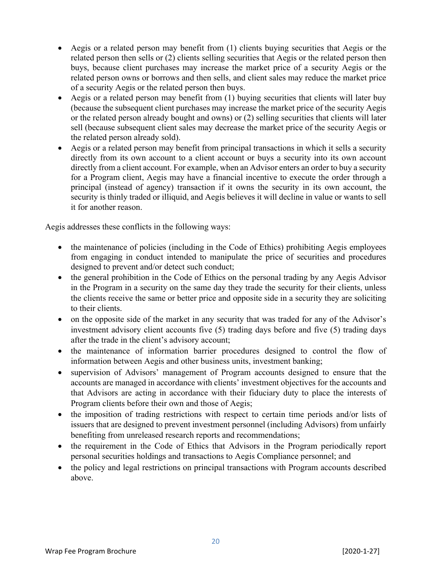- Aegis or a related person may benefit from (1) clients buying securities that Aegis or the related person then sells or (2) clients selling securities that Aegis or the related person then buys, because client purchases may increase the market price of a security Aegis or the related person owns or borrows and then sells, and client sales may reduce the market price of a security Aegis or the related person then buys.
- Aegis or a related person may benefit from (1) buying securities that clients will later buy (because the subsequent client purchases may increase the market price of the security Aegis or the related person already bought and owns) or (2) selling securities that clients will later sell (because subsequent client sales may decrease the market price of the security Aegis or the related person already sold).
- Aegis or a related person may benefit from principal transactions in which it sells a security directly from its own account to a client account or buys a security into its own account directly from a client account. For example, when an Advisor enters an order to buy a security for a Program client, Aegis may have a financial incentive to execute the order through a principal (instead of agency) transaction if it owns the security in its own account, the security is thinly traded or illiquid, and Aegis believes it will decline in value or wants to sell it for another reason.

Aegis addresses these conflicts in the following ways:

- the maintenance of policies (including in the Code of Ethics) prohibiting Aegis employees from engaging in conduct intended to manipulate the price of securities and procedures designed to prevent and/or detect such conduct;
- the general prohibition in the Code of Ethics on the personal trading by any Aegis Advisor in the Program in a security on the same day they trade the security for their clients, unless the clients receive the same or better price and opposite side in a security they are soliciting to their clients.
- on the opposite side of the market in any security that was traded for any of the Advisor's investment advisory client accounts five (5) trading days before and five (5) trading days after the trade in the client's advisory account;
- the maintenance of information barrier procedures designed to control the flow of information between Aegis and other business units, investment banking;
- supervision of Advisors' management of Program accounts designed to ensure that the accounts are managed in accordance with clients' investment objectives for the accounts and that Advisors are acting in accordance with their fiduciary duty to place the interests of Program clients before their own and those of Aegis;
- the imposition of trading restrictions with respect to certain time periods and/or lists of issuers that are designed to prevent investment personnel (including Advisors) from unfairly benefiting from unreleased research reports and recommendations;
- the requirement in the Code of Ethics that Advisors in the Program periodically report personal securities holdings and transactions to Aegis Compliance personnel; and
- the policy and legal restrictions on principal transactions with Program accounts described above.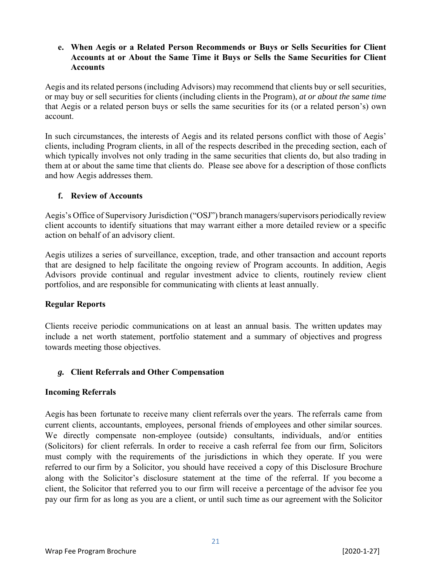#### **e. When Aegis or a Related Person Recommends or Buys or Sells Securities for Client Accounts at or About the Same Time it Buys or Sells the Same Securities for Client Accounts**

Aegis and its related persons (including Advisors) may recommend that clients buy or sell securities, or may buy or sell securities for clients (including clients in the Program), *at or about the same time*  that Aegis or a related person buys or sells the same securities for its (or a related person's) own account.

In such circumstances, the interests of Aegis and its related persons conflict with those of Aegis' clients, including Program clients, in all of the respects described in the preceding section, each of which typically involves not only trading in the same securities that clients do, but also trading in them at or about the same time that clients do. Please see above for a description of those conflicts and how Aegis addresses them.

#### **f. Review of Accounts**

Aegis's Office of Supervisory Jurisdiction ("OSJ") branch managers/supervisors periodically review client accounts to identify situations that may warrant either a more detailed review or a specific action on behalf of an advisory client.

Aegis utilizes a series of surveillance, exception, trade, and other transaction and account reports that are designed to help facilitate the ongoing review of Program accounts. In addition, Aegis Advisors provide continual and regular investment advice to clients, routinely review client portfolios, and are responsible for communicating with clients at least annually.

#### **Regular Reports**

Clients receive periodic communications on at least an annual basis. The written updates may include a net worth statement, portfolio statement and a summary of objectives and progress towards meeting those objectives.

#### *g.* **Client Referrals and Other Compensation**

#### **Incoming Referrals**

Aegis has been fortunate to receive many client referrals over the years. The referrals came from current clients, accountants, employees, personal friends of employees and other similar sources. We directly compensate non-employee (outside) consultants, individuals, and/or entities (Solicitors) for client referrals. In order to receive a cash referral fee from our firm, Solicitors must comply with the requirements of the jurisdictions in which they operate. If you were referred to our firm by a Solicitor, you should have received a copy of this Disclosure Brochure along with the Solicitor's disclosure statement at the time of the referral. If you become a client, the Solicitor that referred you to our firm will receive a percentage of the advisor fee you pay our firm for as long as you are a client, or until such time as our agreement with the Solicitor